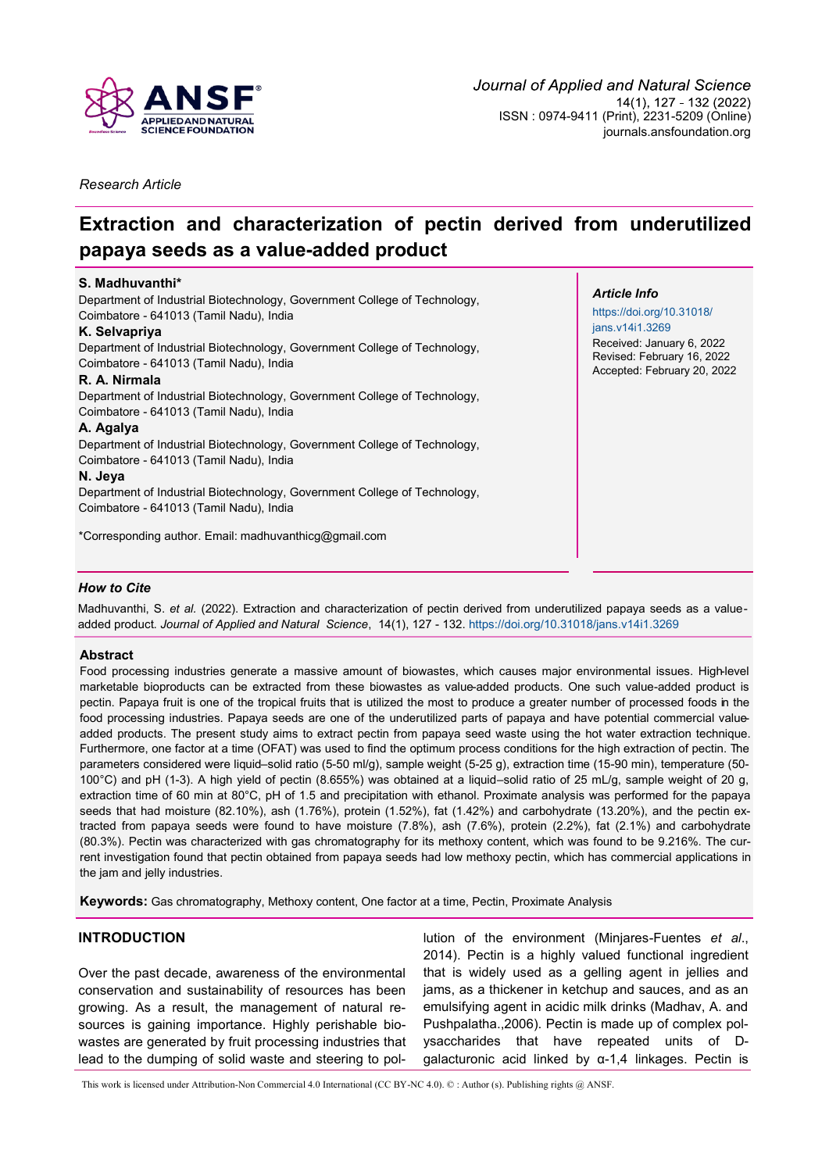

*Research Article*

# **Extraction and characterization of pectin derived from underutilized papaya seeds as a value-added product**

# **S. Madhuvanthi\***

Department of Industrial Biotechnology, Government College of Technology, Coimbatore - 641013 (Tamil Nadu), India

### **K. Selvapriya**

Department of Industrial Biotechnology, Government College of Technology, Coimbatore - 641013 (Tamil Nadu), India

#### **R. A. Nirmala**

Department of Industrial Biotechnology, Government College of Technology, Coimbatore - 641013 (Tamil Nadu), India

#### **A. Agalya**

Department of Industrial Biotechnology, Government College of Technology, Coimbatore - 641013 (Tamil Nadu), India

#### **N. Jeya**

Department of Industrial Biotechnology, Government College of Technology, Coimbatore - 641013 (Tamil Nadu), India

\*Corresponding author. Email: [madhuvanthicg@gmail.com](mailto:madhuvanthicg@gmail.com)

#### *Article Info*

[https://doi.org/10.31018/](https://doi.org/10.31018/jans.v14i1.3269) [jans.v14i1.3269](https://doi.org/10.31018/jans.v14i1.3269) Received: January 6, 2022 Revised: February 16, 2022 Accepted: February 20, 2022

### *How to Cite*

Madhuvanthi, S. *et al.* (2022). Extraction and characterization of pectin derived from underutilized papaya seeds as a valueadded product. *Journal of Applied and Natural Science*, 14(1), 127 - 132. <https://doi.org/10.31018/jans.v14i1.3269>

### **Abstract**

Food processing industries generate a massive amount of biowastes, which causes major environmental issues. High-level marketable bioproducts can be extracted from these biowastes as value-added products. One such value-added product is pectin. Papaya fruit is one of the tropical fruits that is utilized the most to produce a greater number of processed foods in the food processing industries. Papaya seeds are one of the underutilized parts of papaya and have potential commercial valueadded products. The present study aims to extract pectin from papaya seed waste using the hot water extraction technique. Furthermore, one factor at a time (OFAT) was used to find the optimum process conditions for the high extraction of pectin. The parameters considered were liquid–solid ratio (5-50 ml/g), sample weight (5-25 g), extraction time (15-90 min), temperature (50- 100°C) and pH (1-3). A high yield of pectin (8.655%) was obtained at a liquid–solid ratio of 25 mL/g, sample weight of 20 g, extraction time of 60 min at 80°C, pH of 1.5 and precipitation with ethanol. Proximate analysis was performed for the papaya seeds that had moisture (82.10%), ash (1.76%), protein (1.52%), fat (1.42%) and carbohydrate (13.20%), and the pectin extracted from papaya seeds were found to have moisture (7.8%), ash (7.6%), protein (2.2%), fat (2.1%) and carbohydrate (80.3%). Pectin was characterized with gas chromatography for its methoxy content, which was found to be 9.216%. The current investigation found that pectin obtained from papaya seeds had low methoxy pectin, which has commercial applications in the jam and jelly industries.

**Keywords:** Gas chromatography, Methoxy content, One factor at a time, Pectin, Proximate Analysis

# **INTRODUCTION**

Over the past decade, awareness of the environmental conservation and sustainability of resources has been growing. As a result, the management of natural resources is gaining importance. Highly perishable biowastes are generated by fruit processing industries that lead to the dumping of solid waste and steering to pol-

lution of the environment (Minjares-Fuentes *et al*., 2014). Pectin is a highly valued functional ingredient that is widely used as a gelling agent in jellies and jams, as a thickener in ketchup and sauces, and as an emulsifying agent in acidic milk drinks (Madhav, A. and Pushpalatha.,2006). Pectin is made up of complex polysaccharides that have repeated units of Dgalacturonic acid linked by α-1,4 linkages. Pectin is

This work is licensed under Attribution-Non Commercial 4.0 International (CC BY-NC 4.0). © : Author (s). Publishing rights @ ANSF.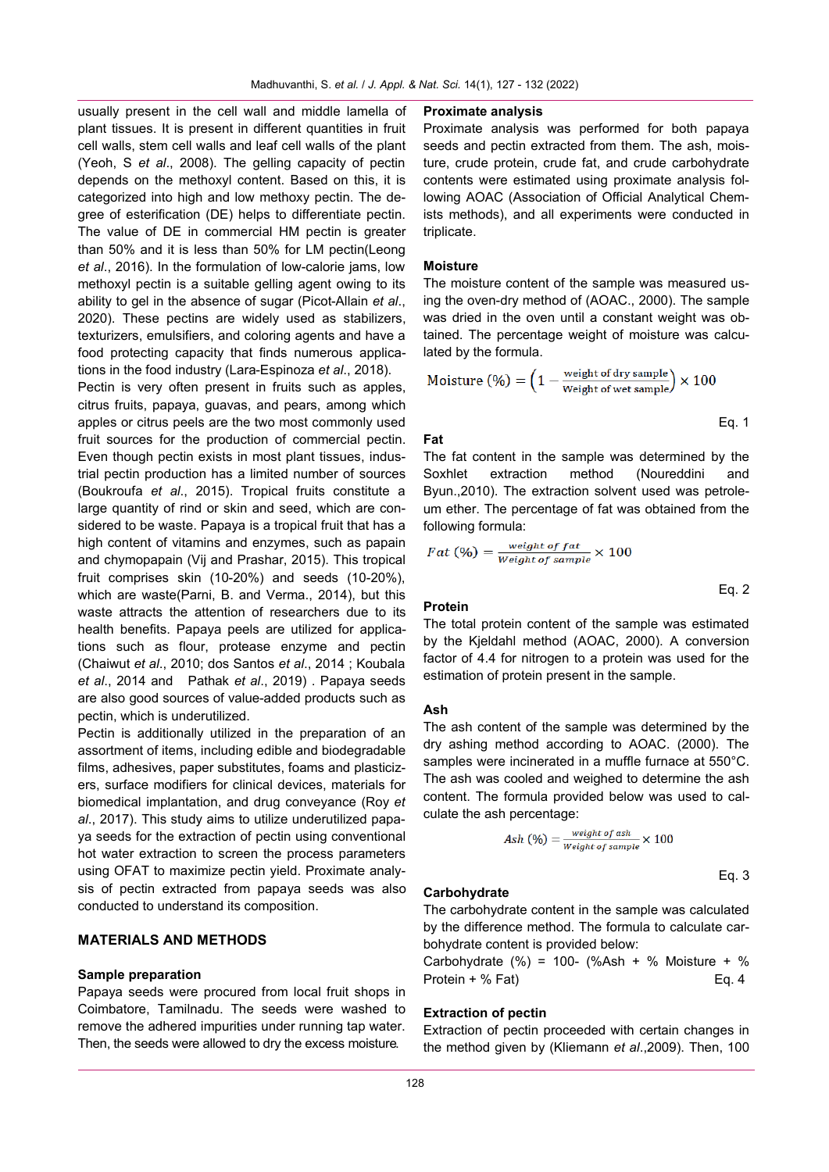usually present in the cell wall and middle lamella of plant tissues. It is present in different quantities in fruit cell walls, stem cell walls and leaf cell walls of the plant (Yeoh, S *et al*., 2008). The gelling capacity of pectin depends on the methoxyl content. Based on this, it is categorized into high and low methoxy pectin. The degree of esterification (DE) helps to differentiate pectin. The value of DE in commercial HM pectin is greater than 50% and it is less than 50% for LM pectin(Leong *et al*., 2016). In the formulation of low-calorie jams, low methoxyl pectin is a suitable gelling agent owing to its ability to gel in the absence of sugar (Picot-Allain *et al*., 2020). These pectins are widely used as stabilizers, texturizers, emulsifiers, and coloring agents and have a food protecting capacity that finds numerous applications in the food industry (Lara-Espinoza *et al*., 2018).

Pectin is very often present in fruits such as apples, citrus fruits, papaya, guavas, and pears, among which apples or citrus peels are the two most commonly used fruit sources for the production of commercial pectin. Even though pectin exists in most plant tissues, industrial pectin production has a limited number of sources (Boukroufa *et al*., 2015). Tropical fruits constitute a large quantity of rind or skin and seed, which are considered to be waste. Papaya is a tropical fruit that has a high content of vitamins and enzymes, such as papain and chymopapain (Vij and Prashar, 2015). This tropical fruit comprises skin (10-20%) and seeds (10-20%), which are waste(Parni, B. and Verma., 2014), but this waste attracts the attention of researchers due to its health benefits. Papaya peels are utilized for applications such as flour, protease enzyme and pectin (Chaiwut *et al*., 2010; dos Santos *et al*., 2014 ; Koubala *et al*., 2014 and Pathak *et al*., 2019) . Papaya seeds are also good sources of value-added products such as pectin, which is underutilized.

Pectin is additionally utilized in the preparation of an assortment of items, including edible and biodegradable films, adhesives, paper substitutes, foams and plasticizers, surface modifiers for clinical devices, materials for biomedical implantation, and drug conveyance (Roy *et al*., 2017). This study aims to utilize underutilized papaya seeds for the extraction of pectin using conventional hot water extraction to screen the process parameters using OFAT to maximize pectin yield. Proximate analysis of pectin extracted from papaya seeds was also conducted to understand its composition.

# **MATERIALS AND METHODS**

#### **Sample preparation**

Papaya seeds were procured from local fruit shops in Coimbatore, Tamilnadu. The seeds were washed to remove the adhered impurities under running tap water. Then, the seeds were allowed to dry the excess moisture.

#### **Proximate analysis**

Proximate analysis was performed for both papaya seeds and pectin extracted from them. The ash, moisture, crude protein, crude fat, and crude carbohydrate contents were estimated using proximate analysis following AOAC (Association of Official Analytical Chemists methods), and all experiments were conducted in triplicate.

### **Moisture**

The moisture content of the sample was measured using the oven-dry method of (AOAC., 2000). The sample was dried in the oven until a constant weight was obtained. The percentage weight of moisture was calculated by the formula.

$$
\text{Moisture } (\%) = \left(1 - \frac{\text{weight of dry sample}}{\text{Weight of wet sample}}\right) \times 100
$$

**Fat**

The fat content in the sample was determined by the Soxhlet extraction method (Noureddini and Byun.,2010). The extraction solvent used was petroleum ether. The percentage of fat was obtained from the following formula:

$$
Fact (%) = \frac{weight \ of \ fat}{Weight \ of \ sample} \times 100
$$

#### **Protein**

The total protein content of the sample was estimated by the Kjeldahl method (AOAC, 2000). A conversion factor of 4.4 for nitrogen to a protein was used for the estimation of protein present in the sample.

#### **Ash**

The ash content of the sample was determined by the dry ashing method according to AOAC. (2000). The samples were incinerated in a muffle furnace at 550°C. The ash was cooled and weighed to determine the ash content. The formula provided below was used to calculate the ash percentage:

$$
Ash\ (\%) = \frac{weight\ of\ ash}{Weight\ of\ sample} \times 100
$$

## Eq. 3

Eq. 1

Eq. 2

#### **Carbohydrate**

The carbohydrate content in the sample was calculated by the difference method. The formula to calculate carbohydrate content is provided below:

Carbohydrate  $(\%)$  = 100-  $(\%$ Ash + % Moisture + % Protein + % Fat) Eq. 4

#### **Extraction of pectin**

Extraction of pectin proceeded with certain changes in the method given by (Kliemann *et al*.,2009). Then, 100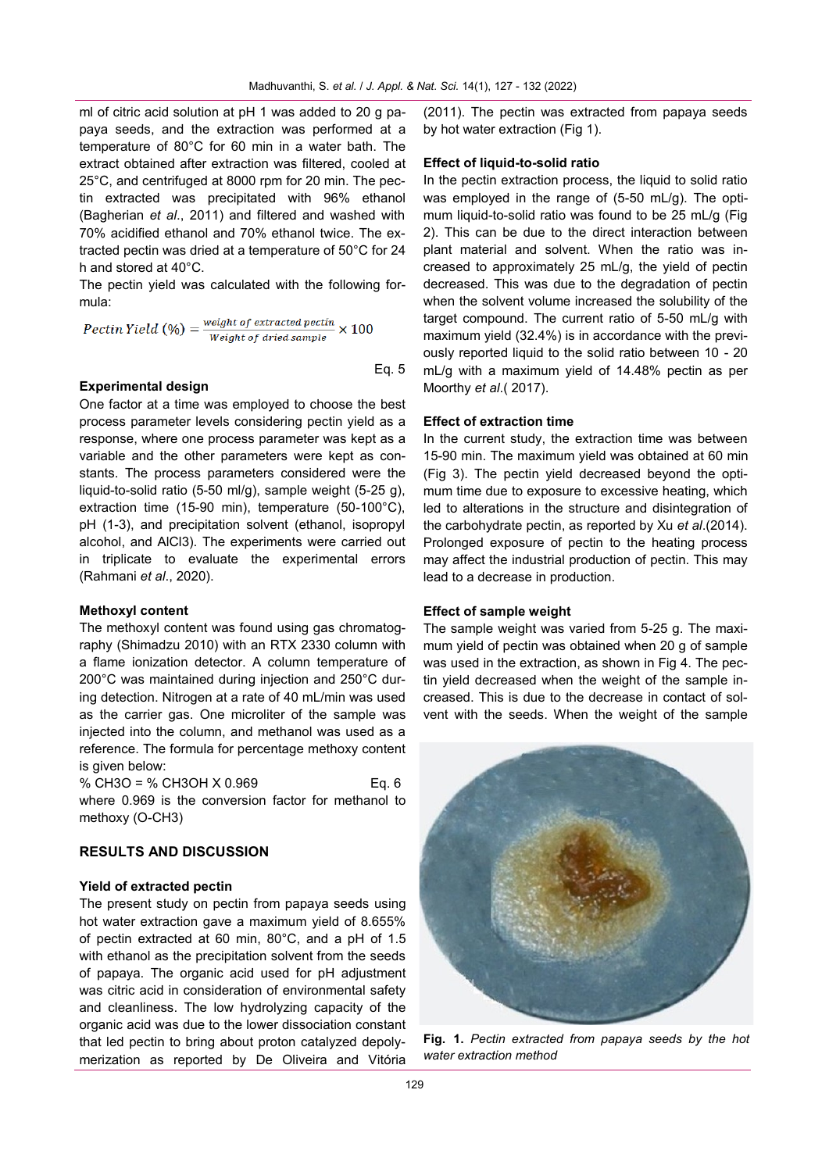ml of citric acid solution at pH 1 was added to 20 g papaya seeds, and the extraction was performed at a temperature of 80°C for 60 min in a water bath. The extract obtained after extraction was filtered, cooled at 25°C, and centrifuged at 8000 rpm for 20 min. The pectin extracted was precipitated with 96% ethanol (Bagherian *et al*., 2011) and filtered and washed with 70% acidified ethanol and 70% ethanol twice. The extracted pectin was dried at a temperature of 50°C for 24 h and stored at 40°C.

The pectin yield was calculated with the following formula:

*Pectin Yield* (
$$
\%
$$
) =  $\frac{weight \ of \ extracted \ pectin}{Weight \ of \ dried \ sample} \times 100$ 

 $\overline{a}$ Eq. 5

### **Experimental design**

One factor at a time was employed to choose the best process parameter levels considering pectin yield as a response, where one process parameter was kept as a variable and the other parameters were kept as constants. The process parameters considered were the liquid-to-solid ratio (5-50 ml/g), sample weight (5-25 g), extraction time (15-90 min), temperature (50-100°C), pH (1-3), and precipitation solvent (ethanol, isopropyl alcohol, and AlCl3). The experiments were carried out in triplicate to evaluate the experimental errors (Rahmani *et al*., 2020).

#### **Methoxyl content**

The methoxyl content was found using gas chromatography (Shimadzu 2010) with an RTX 2330 column with a flame ionization detector. A column temperature of 200°C was maintained during injection and 250°C during detection. Nitrogen at a rate of 40 mL/min was used as the carrier gas. One microliter of the sample was injected into the column, and methanol was used as a reference. The formula for percentage methoxy content is given below:

% CH3O = % CH3OH X 0.969 Eq. 6 where 0.969 is the conversion factor for methanol to methoxy (O-CH3)

#### **RESULTS AND DISCUSSION**

#### **Yield of extracted pectin**

The present study on pectin from papaya seeds using hot water extraction gave a maximum yield of 8.655% of pectin extracted at 60 min, 80°C, and a pH of 1.5 with ethanol as the precipitation solvent from the seeds of papaya. The organic acid used for pH adjustment was citric acid in consideration of environmental safety and cleanliness. The low hydrolyzing capacity of the organic acid was due to the lower dissociation constant that led pectin to bring about proton catalyzed depolymerization as reported by De Oliveira and Vitória

(2011). The pectin was extracted from papaya seeds by hot water extraction (Fig 1).

#### **Effect of liquid-to-solid ratio**

In the pectin extraction process, the liquid to solid ratio was employed in the range of (5-50 mL/g). The optimum liquid-to-solid ratio was found to be 25 mL/g (Fig 2). This can be due to the direct interaction between plant material and solvent. When the ratio was increased to approximately 25 mL/g, the yield of pectin decreased. This was due to the degradation of pectin when the solvent volume increased the solubility of the target compound. The current ratio of 5-50 mL/g with maximum yield (32.4%) is in accordance with the previously reported liquid to the solid ratio between 10 - 20 mL/g with a maximum yield of 14.48% pectin as per Moorthy *et al*.( 2017).

#### **Effect of extraction time**

In the current study, the extraction time was between 15-90 min. The maximum yield was obtained at 60 min (Fig 3). The pectin yield decreased beyond the optimum time due to exposure to excessive heating, which led to alterations in the structure and disintegration of the carbohydrate pectin, as reported by Xu *et al*.(2014). Prolonged exposure of pectin to the heating process may affect the industrial production of pectin. This may lead to a decrease in production.

#### **Effect of sample weight**

The sample weight was varied from 5-25 g. The maximum yield of pectin was obtained when 20 g of sample was used in the extraction, as shown in Fig 4. The pectin yield decreased when the weight of the sample increased. This is due to the decrease in contact of solvent with the seeds. When the weight of the sample



**Fig. 1.** *Pectin extracted from papaya seeds by the hot water extraction method*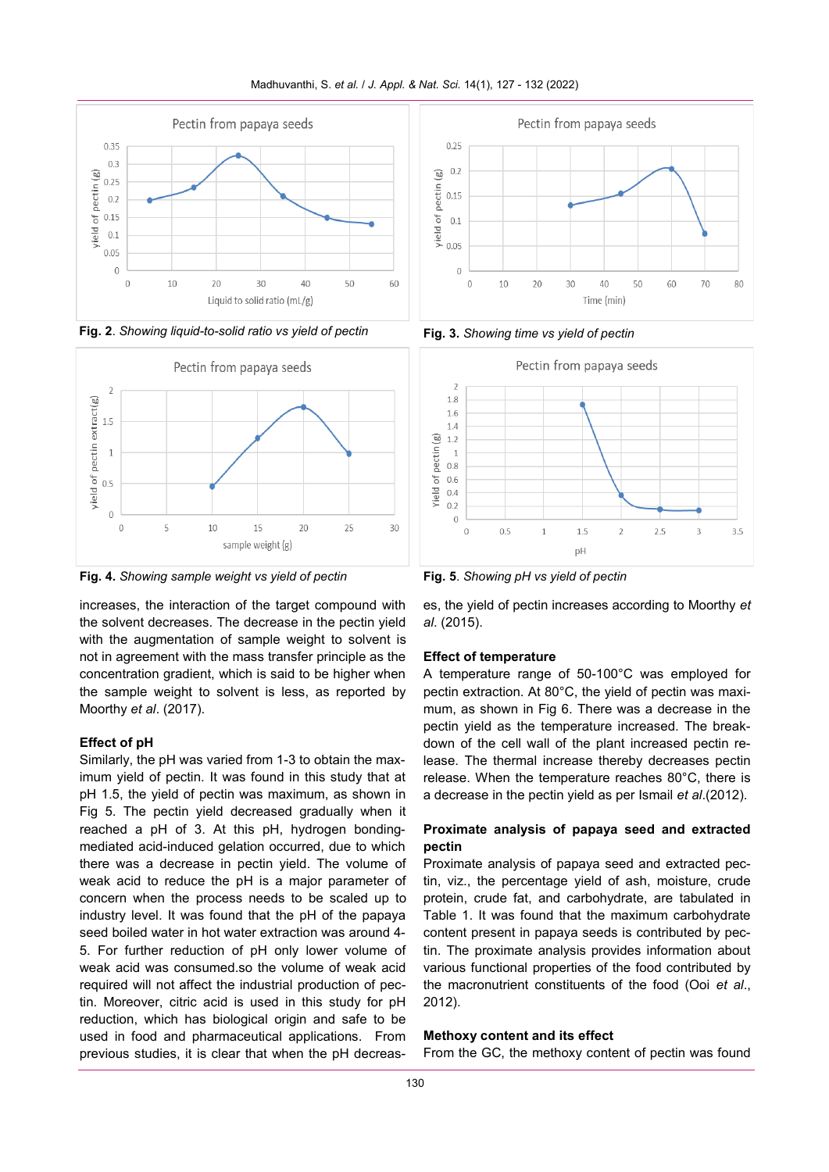







increases, the interaction of the target compound with the solvent decreases. The decrease in the pectin yield with the augmentation of sample weight to solvent is not in agreement with the mass transfer principle as the concentration gradient, which is said to be higher when the sample weight to solvent is less, as reported by Moorthy *et al*. (2017).

### **Effect of pH**

Similarly, the pH was varied from 1-3 to obtain the maximum yield of pectin. It was found in this study that at pH 1.5, the yield of pectin was maximum, as shown in Fig 5. The pectin yield decreased gradually when it reached a pH of 3. At this pH, hydrogen bondingmediated acid-induced gelation occurred, due to which there was a decrease in pectin yield. The volume of weak acid to reduce the pH is a major parameter of concern when the process needs to be scaled up to industry level. It was found that the pH of the papaya seed boiled water in hot water extraction was around 4- 5. For further reduction of pH only lower volume of weak acid was consumed.so the volume of weak acid required will not affect the industrial production of pectin. Moreover, citric acid is used in this study for pH reduction, which has biological origin and safe to be used in food and pharmaceutical applications. From previous studies, it is clear that when the pH decreas-





es, the yield of pectin increases according to Moorthy *et al*. (2015).

### **Effect of temperature**

A temperature range of 50-100°C was employed for pectin extraction. At 80°C, the yield of pectin was maximum, as shown in Fig 6. There was a decrease in the pectin yield as the temperature increased. The breakdown of the cell wall of the plant increased pectin release. The thermal increase thereby decreases pectin release. When the temperature reaches 80°C, there is a decrease in the pectin yield as per Ismail *et al*.(2012).

# **Proximate analysis of papaya seed and extracted pectin**

Proximate analysis of papaya seed and extracted pectin, viz., the percentage yield of ash, moisture, crude protein, crude fat, and carbohydrate, are tabulated in Table 1. It was found that the maximum carbohydrate content present in papaya seeds is contributed by pectin. The proximate analysis provides information about various functional properties of the food contributed by the macronutrient constituents of the food (Ooi *et al*., 2012).

# **Methoxy content and its effect**

From the GC, the methoxy content of pectin was found

# Madhuvanthi, S. *et al.* / *J. Appl. & Nat. Sci.* 14(1), 127 - 132 (2022)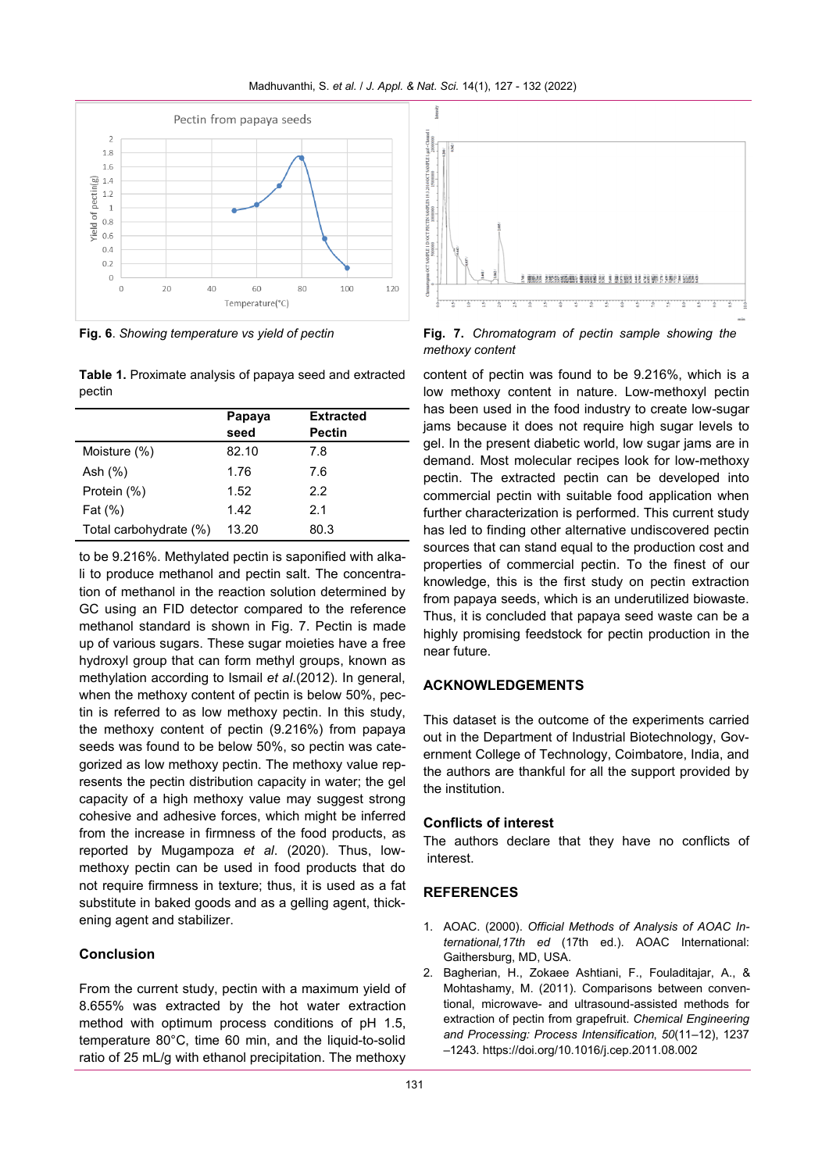Madhuvanthi, S. *et al.* / *J. Appl. & Nat. Sci.* 14(1), 127 - 132 (2022)



**Fig. 6**. *Showing temperature vs yield of pectin*

**Table 1.** Proximate analysis of papaya seed and extracted pectin

|                        | Papaya<br>seed | <b>Extracted</b><br><b>Pectin</b> |
|------------------------|----------------|-----------------------------------|
| Moisture (%)           | 82.10          | 7.8                               |
| Ash (%)                | 1.76           | 7.6                               |
| Protein (%)            | 1.52           | 2.2                               |
| Fat (%)                | 1.42           | 2.1                               |
| Total carbohydrate (%) | 13.20          | 80.3                              |

to be 9.216%. Methylated pectin is saponified with alkali to produce methanol and pectin salt. The concentration of methanol in the reaction solution determined by GC using an FID detector compared to the reference methanol standard is shown in Fig. 7. Pectin is made up of various sugars. These sugar moieties have a free hydroxyl group that can form methyl groups, known as methylation according to Ismail *et al*.(2012). In general, when the methoxy content of pectin is below 50%, pectin is referred to as low methoxy pectin. In this study, the methoxy content of pectin (9.216%) from papaya seeds was found to be below 50%, so pectin was categorized as low methoxy pectin. The methoxy value represents the pectin distribution capacity in water; the gel capacity of a high methoxy value may suggest strong cohesive and adhesive forces, which might be inferred from the increase in firmness of the food products, as reported by Mugampoza *et al*. (2020). Thus, lowmethoxy pectin can be used in food products that do not require firmness in texture; thus, it is used as a fat substitute in baked goods and as a gelling agent, thickening agent and stabilizer.

# **Conclusion**

From the current study, pectin with a maximum yield of 8.655% was extracted by the hot water extraction method with optimum process conditions of pH 1.5, temperature 80°C, time 60 min, and the liquid-to-solid ratio of 25 mL/g with ethanol precipitation. The methoxy



**Fig. 7.** *Chromatogram of pectin sample showing the methoxy content*

content of pectin was found to be 9.216%, which is a low methoxy content in nature. Low-methoxyl pectin has been used in the food industry to create low-sugar jams because it does not require high sugar levels to gel. In the present diabetic world, low sugar jams are in demand. Most molecular recipes look for low-methoxy pectin. The extracted pectin can be developed into commercial pectin with suitable food application when further characterization is performed. This current study has led to finding other alternative undiscovered pectin sources that can stand equal to the production cost and properties of commercial pectin. To the finest of our knowledge, this is the first study on pectin extraction from papaya seeds, which is an underutilized biowaste. Thus, it is concluded that papaya seed waste can be a highly promising feedstock for pectin production in the near future.

# **ACKNOWLEDGEMENTS**

This dataset is the outcome of the experiments carried out in the Department of Industrial Biotechnology, Government College of Technology, Coimbatore, India, and the authors are thankful for all the support provided by the institution.

### **Conflicts of interest**

The authors declare that they have no conflicts of interest.

# **REFERENCES**

- 1. AOAC. (2000). *Official Methods of Analysis of AOAC International,17th ed* (17th ed.). AOAC International: Gaithersburg, MD, USA.
- 2. Bagherian, H., Zokaee Ashtiani, F., Fouladitajar, A., & Mohtashamy, M. (2011). Comparisons between conventional, microwave- and ultrasound-assisted methods for extraction of pectin from grapefruit. *Chemical Engineering and Processing: Process Intensification*, *50*(11–12), 1237 –1243. https://doi.org/10.1016/j.cep.2011.08.002